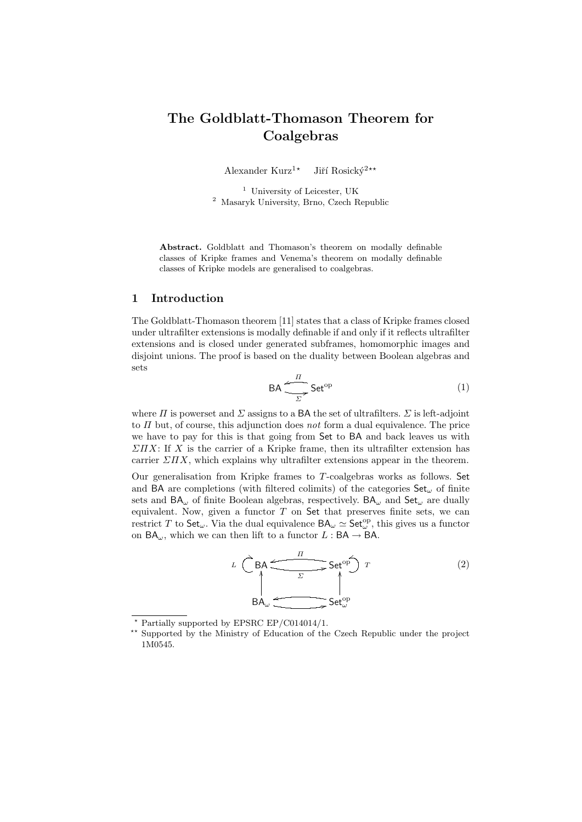# The Goldblatt-Thomason Theorem for Coalgebras

Alexander Kurz<sup>1\*</sup> Jiří Rosický<sup>2\*\*</sup>

<sup>1</sup> University of Leicester, UK <sup>2</sup> Masaryk University, Brno, Czech Republic

Abstract. Goldblatt and Thomason's theorem on modally definable classes of Kripke frames and Venema's theorem on modally definable classes of Kripke models are generalised to coalgebras.

# 1 Introduction

The Goldblatt-Thomason theorem [11] states that a class of Kripke frames closed under ultrafilter extensions is modally definable if and only if it reflects ultrafilter extensions and is closed under generated subframes, homomorphic images and disjoint unions. The proof is based on the duality between Boolean algebras and sets

$$
\mathsf{BA} \xrightarrow{\frac{\pi}{\Sigma}} \mathsf{Set}^{\mathrm{op}} \tag{1}
$$

where  $\Pi$  is powerset and  $\Sigma$  assigns to a BA the set of ultrafilters.  $\Sigma$  is left-adjoint to  $\Pi$  but, of course, this adjunction does not form a dual equivalence. The price we have to pay for this is that going from Set to BA and back leaves us with  $\Sigma \Pi X$ : If X is the carrier of a Kripke frame, then its ultrafilter extension has carrier  $\Sigma \Pi X$ , which explains why ultrafilter extensions appear in the theorem.

Our generalisation from Kripke frames to T-coalgebras works as follows. Set and BA are completions (with filtered colimits) of the categories  $Set_{\omega}$  of finite sets and  $BA_{\omega}$  of finite Boolean algebras, respectively.  $BA_{\omega}$  and  $Set_{\omega}$  are dually equivalent. Now, given a functor  $T$  on Set that preserves finite sets, we can restrict T to  $\mathsf{Set}_{\omega}$ . Via the dual equivalence  $\mathsf{BA}_{\omega} \simeq \mathsf{Set}_{\omega}^{\mathrm{op}},$  this gives us a functor on  $BA_{\omega}$ , which we can then lift to a functor  $L : BA \rightarrow BA$ .

$$
L \begin{array}{c}\n\begin{array}{ccc}\n & \nearrow & \text{BA} \\
 & \nearrow & \text{Set}^{\text{op}} \\
 & \nearrow & \text{Set}^{\text{op}} \\
 & \downarrow & \nearrow\n\end{array}\n\end{array} \tag{2}
$$

<sup>?</sup> Partially supported by EPSRC EP/C014014/1.

<sup>\*\*</sup> Supported by the Ministry of Education of the Czech Republic under the project 1M0545.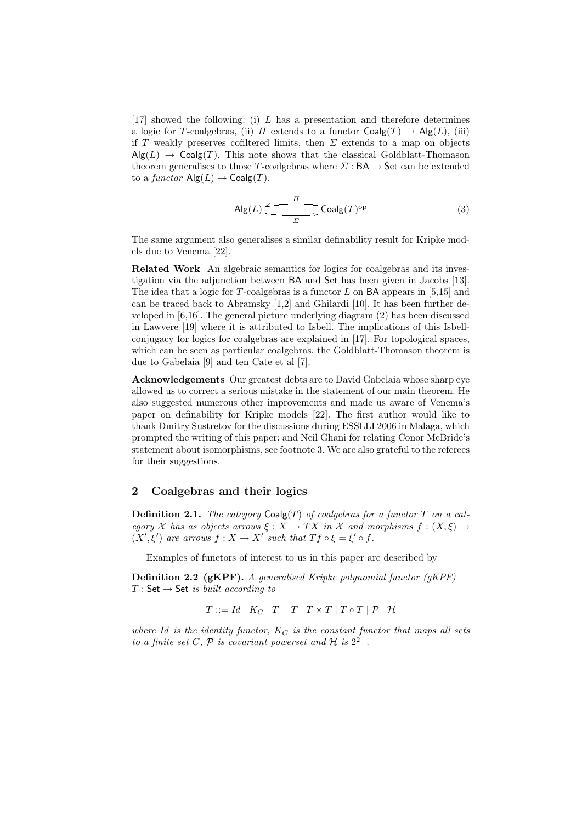$[17]$  showed the following: (i) L has a presentation and therefore determines a logic for T-coalgebras, (ii)  $\Pi$  extends to a functor  $Coalg(T) \rightarrow Alg(L)$ , (iii) if T weakly preserves cofiltered limits, then  $\Sigma$  extends to a map on objects  $\mathsf{Alg}(L) \to \mathsf{Coalg}(T)$ . This note shows that the classical Goldblatt-Thomason theorem generalises to those T-coalgebras where  $\Sigma : BA \to Set$  can be extended to a functor  $\text{Alg}(L) \to \text{Coalg}(T)$ .

$$
\mathsf{Alg}(L) \xrightarrow{\Pi} \mathsf{Coalg}(T)^{\text{op}} \tag{3}
$$

The same argument also generalises a similar definability result for Kripke models due to Venema [22].

Related Work An algebraic semantics for logics for coalgebras and its investigation via the adjunction between BA and Set has been given in Jacobs [13]. The idea that a logic for T-coalgebras is a functor  $L$  on BA appears in [5,15] and can be traced back to Abramsky [1,2] and Ghilardi [10]. It has been further developed in [6,16]. The general picture underlying diagram (2) has been discussed in Lawvere [19] where it is attributed to Isbell. The implications of this Isbellconjugacy for logics for coalgebras are explained in [17]. For topological spaces, which can be seen as particular coalgebras, the Goldblatt-Thomason theorem is due to Gabelaia [9] and ten Cate et al [7].

Acknowledgements Our greatest debts are to David Gabelaia whose sharp eye allowed us to correct a serious mistake in the statement of our main theorem. He also suggested numerous other improvements and made us aware of Venema's paper on definability for Kripke models [22]. The first author would like to thank Dmitry Sustretov for the discussions during ESSLLI 2006 in Malaga, which prompted the writing of this paper; and Neil Ghani for relating Conor McBride's statement about isomorphisms, see footnote 3. We are also grateful to the referees for their suggestions.

# 2 Coalgebras and their logics

**Definition 2.1.** The category  $\text{Coalg}(T)$  of coalgebras for a functor T on a category X has as objects arrows  $\xi : X \to TX$  in X and morphisms  $f : (X, \xi) \to$  $(X', \xi')$  are arrows  $f : X \to X'$  such that  $Tf \circ \xi = \xi' \circ f$ .

Examples of functors of interest to us in this paper are described by

Definition 2.2 (gKPF). A generalised Kripke polynomial functor (gKPF)  $T : Set \rightarrow Set$  is built according to

 $T ::= Id | K_C | T + T | T \times T | T \circ T | \mathcal{P} | \mathcal{H}$ 

where Id is the identity functor,  $K_C$  is the constant functor that maps all sets to a finite set C, P is covariant powerset and H is  $2^{2^{-}}$ .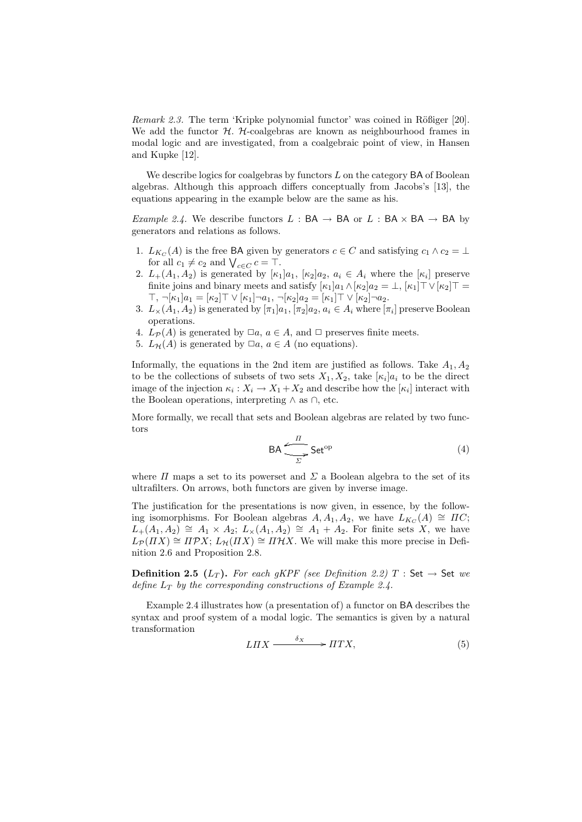*Remark 2.3.* The term 'Kripke polynomial functor' was coined in Rößiger  $[20]$ . We add the functor  $H$ .  $H$ -coalgebras are known as neighbourhood frames in modal logic and are investigated, from a coalgebraic point of view, in Hansen and Kupke [12].

We describe logics for coalgebras by functors  $L$  on the category  $BA$  of Boolean algebras. Although this approach differs conceptually from Jacobs's [13], the equations appearing in the example below are the same as his.

*Example 2.4.* We describe functors  $L : BA \rightarrow BA$  or  $L : BA \times BA \rightarrow BA$  by generators and relations as follows.

- 1.  $L_{K_C}(A)$  is the free BA given by generators  $c \in C$  and satisfying  $c_1 \wedge c_2 = \perp$ for all  $c_1 \neq c_2$  and  $\bigvee_{c \in C} c = \top$ .
- 2.  $L_+(A_1, A_2)$  is generated by  $[\kappa_1]a_1$ ,  $[\kappa_2]a_2$ ,  $a_i \in A_i$  where the  $[\kappa_i]$  preserve finite joins and binary meets and satisfy  $[\kappa_1]a_1 \wedge [\kappa_2]a_2 = \perp, [\kappa_1]\top \vee [\kappa_2]\top =$  $\top, \neg[\kappa_1]a_1 = [\kappa_2] \top \vee [\kappa_1] \neg a_1, \neg[\kappa_2]a_2 = [\kappa_1] \top \vee [\kappa_2] \neg a_2.$
- 3.  $L_{\times}(A_1, A_2)$  is generated by  $[\pi_1]a_1, [\pi_2]a_2, a_i \in A_i$  where  $[\pi_i]$  preserve Boolean operations.
- 4.  $L_{\mathcal{P}}(A)$  is generated by  $\Box a, a \in A$ , and  $\Box$  preserves finite meets.
- 5.  $L_{\mathcal{H}}(A)$  is generated by  $\Box a, a \in A$  (no equations).

Informally, the equations in the 2nd item are justified as follows. Take  $A_1, A_2$ to be the collections of subsets of two sets  $X_1, X_2$ , take  $[\kappa_i]a_i$  to be the direct image of the injection  $\kappa_i: X_i \to X_1 + X_2$  and describe how the  $[\kappa_i]$  interact with the Boolean operations, interpreting ∧ as ∩, etc.

More formally, we recall that sets and Boolean algebras are related by two functors

$$
\mathsf{BA} \xrightarrow{\overline{I}} \mathsf{Set}^{\mathrm{op}} \tag{4}
$$

where  $\Pi$  maps a set to its powerset and  $\Sigma$  a Boolean algebra to the set of its ultrafilters. On arrows, both functors are given by inverse image.

The justification for the presentations is now given, in essence, by the following isomorphisms. For Boolean algebras  $A, A_1, A_2$ , we have  $L_{K_C}(A) \cong \Pi C$ ;  $L_+(A_1, A_2) \cong A_1 \times A_2$ ;  $L_{\times}(A_1, A_2) \cong A_1 + A_2$ . For finite sets X, we have  $L_{\mathcal{P}}(HX) \cong \Pi \mathcal{P} X$ ;  $L_{\mathcal{H}}(HX) \cong \Pi \mathcal{H} X$ . We will make this more precise in Definition 2.6 and Proposition 2.8.

**Definition 2.5** ( $L_T$ ). For each gKPF (see Definition 2.2) T : Set  $\rightarrow$  Set we define  $L_T$  by the corresponding constructions of Example 2.4.

Example 2.4 illustrates how (a presentation of) a functor on BA describes the syntax and proof system of a modal logic. The semantics is given by a natural transformation

$$
LHX \xrightarrow{\delta_X} \xrightarrow{\text{HT}X},\tag{5}
$$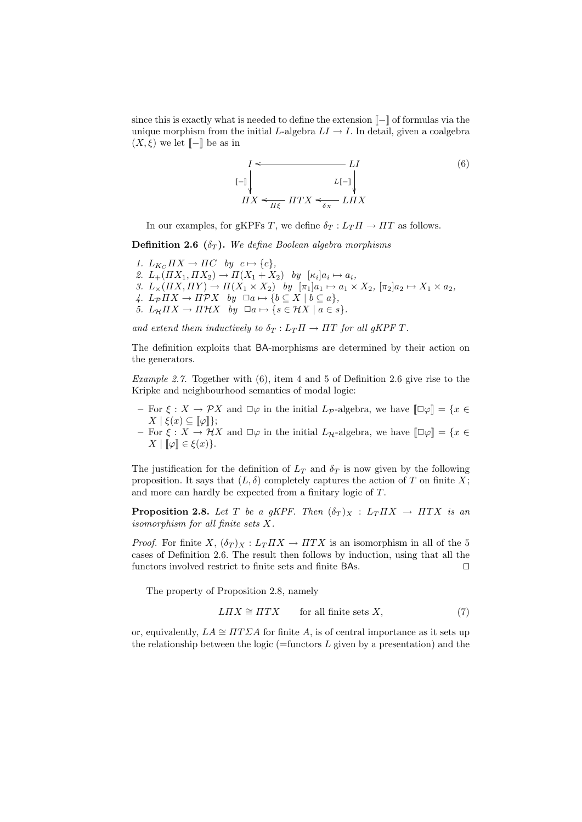since this is exactly what is needed to define the extension [[−]] of formulas via the unique morphism from the initial L-algebra  $LI \rightarrow I$ . In detail, given a coalgebra  $(X, \xi)$  we let  $\llbracket - \rrbracket$  be as in

$$
I \leftarrow L I
$$
  
\n
$$
L[-1] \downarrow L[-1] \downarrow L
$$
  
\n
$$
I I X \leftarrow \frac{L[-1]}{I I X} \leftarrow \frac{L I I X}{I I X}
$$
  
\n
$$
(6)
$$

In our examples, for gKPFs T, we define  $\delta_T : L_T \Pi \to \Pi T$  as follows.

**Definition 2.6** ( $\delta_T$ ). We define Boolean algebra morphisms

- 1.  $L_{K_C} \Pi X \to \Pi C$  by  $c \mapsto \{c\},$
- 2.  $L_+(H X_1, H X_2) \rightarrow H(X_1 + X_2)$  by  $[\kappa_i] a_i \mapsto a_i$ ,
- 3.  $L_{\times}(HX, \Pi Y) \rightarrow \Pi(X_1 \times X_2)$  by  $[\pi_1]a_1 \mapsto a_1 \times X_2$ ,  $[\pi_2]a_2 \mapsto X_1 \times a_2$ ,
- 4.  $L_P \Pi X \to \Pi \mathcal{P} X$  by  $\Box a \mapsto \{b \subseteq X \mid b \subseteq a\},$
- 5.  $L_{\mathcal{H}} \Pi X \to \Pi \mathcal{H} X$  by  $\Box a \mapsto \{s \in \mathcal{H} X \mid a \in s\}.$

and extend them inductively to  $\delta_T : L_T \Pi \to \Pi T$  for all gKPF T.

The definition exploits that BA-morphisms are determined by their action on the generators.

Example 2.7. Together with (6), item 4 and 5 of Definition 2.6 give rise to the Kripke and neighbourhood semantics of modal logic:

- For  $\xi: X \to \mathcal{P}X$  and  $\square \varphi$  in the initial  $L_{\mathcal{P}}$ -algebra, we have  $\square \varphi \rVert = \{x \in$  $X \mid \xi(x) \subseteq \llbracket \varphi \rrbracket \};$
- For  $\xi : X \to \mathcal{H}X$  and  $\square \varphi$  in the initial  $L_{\mathcal{H}}$ -algebra, we have  $\square \varphi \rVert = \{x \in$  $X \mid \llbracket \varphi \rrbracket \in \xi(x) \}.$

The justification for the definition of  $L_T$  and  $\delta_T$  is now given by the following proposition. It says that  $(L, \delta)$  completely captures the action of T on finite X; and more can hardly be expected from a finitary logic of T.

**Proposition 2.8.** Let T be a gKPF. Then  $(\delta_T)_X : L_T \Pi X \rightarrow \Pi T X$  is an isomorphism for all finite sets X.

*Proof.* For finite X,  $(\delta_T)_X : L_T \Pi X \to \Pi T X$  is an isomorphism in all of the 5 cases of Definition 2.6. The result then follows by induction, using that all the functors involved restrict to finite sets and finite BAs.  $\Box$ 

The property of Proposition 2.8, namely

$$
LHX \cong HTX \qquad \text{for all finite sets } X,\tag{7}
$$

or, equivalently,  $LA \cong \Pi T \Sigma A$  for finite A, is of central importance as it sets up the relationship between the logic ( $=$ functors L given by a presentation) and the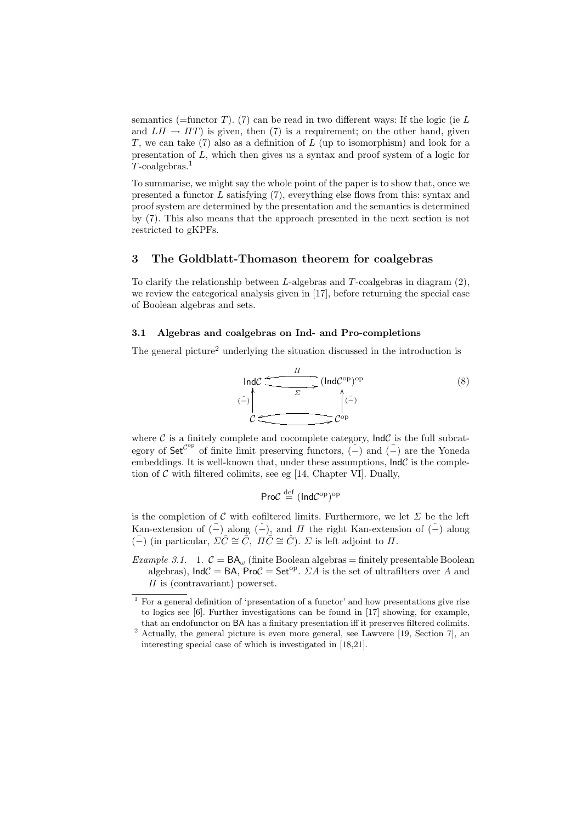semantics (=functor T). (7) can be read in two different ways: If the logic (ie  $L$ and  $L\Pi \rightarrow \Pi T$ ) is given, then (7) is a requirement; on the other hand, given T, we can take  $(7)$  also as a definition of L (up to isomorphism) and look for a presentation of L, which then gives us a syntax and proof system of a logic for  $T$ -coalgebras.<sup>1</sup>

To summarise, we might say the whole point of the paper is to show that, once we presented a functor  $L$  satisfying  $(7)$ , everything else flows from this: syntax and proof system are determined by the presentation and the semantics is determined by (7). This also means that the approach presented in the next section is not restricted to gKPFs.

# 3 The Goldblatt-Thomason theorem for coalgebras

To clarify the relationship between  $L$ -algebras and  $T$ -coalgebras in diagram  $(2)$ , we review the categorical analysis given in [17], before returning the special case of Boolean algebras and sets.

#### 3.1 Algebras and coalgebras on Ind- and Pro-completions

The general picture<sup>2</sup> underlying the situation discussed in the introduction is



where  $C$  is a finitely complete and cocomplete category,  $IndC$  is the full subcategory of  $\mathsf{Set}^{\mathcal{C}^{\mathrm{op}}}$  of finite limit preserving functors,  $(\hat{-})$  and  $(\bar{-})$  are the Yoneda embeddings. It is well-known that, under these assumptions,  $\text{Ind}\mathcal{C}$  is the completion of  $C$  with filtered colimits, see eg [14, Chapter VI]. Dually,

$$
\mathsf{ProC} \stackrel{\mathrm{def}}{=} (\mathsf{Ind}\mathcal{C}^{\mathrm{op}})^{\mathrm{op}}
$$

is the completion of C with cofiltered limits. Furthermore, we let  $\Sigma$  be the left Kan-extension of  $(-)$  along  $(-)$ , and  $\Pi$  the right Kan-extension of  $(-)$  along  $\overline{(-)}$  (in particular,  $\Sigma \hat{C} \cong \overline{C}$ ,  $\Pi \overline{C} \cong \hat{C}$ ).  $\Sigma$  is left adjoint to  $\Pi$ .

Example 3.1. 1.  $C = BA_{\omega}$  (finite Boolean algebras = finitely presentable Boolean algebras),  $IndC = BA$ ,  $ProC = Set^{op}$ .  $\Sigma A$  is the set of ultrafilters over A and  $\Pi$  is (contravariant) powerset.

<sup>1</sup> For a general definition of 'presentation of a functor' and how presentations give rise to logics see [6]. Further investigations can be found in [17] showing, for example, that an endofunctor on BA has a finitary presentation iff it preserves filtered colimits.

<sup>2</sup> Actually, the general picture is even more general, see Lawvere [19, Section 7], an interesting special case of which is investigated in [18,21].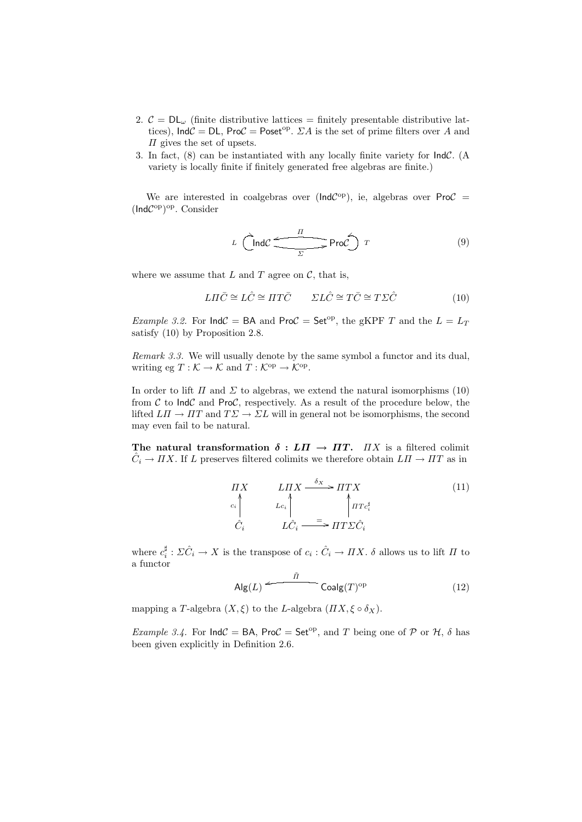- 2.  $\mathcal{C} = DL_{\omega}$  (finite distributive lattices = finitely presentable distributive lattices),  $\text{Ind}\mathcal{C} = \text{DL}$ ,  $\text{ProC} = \text{Poset}^{\text{op}}$ .  $\Sigma A$  is the set of prime filters over A and  $\Pi$  gives the set of upsets.
- 3. In fact, (8) can be instantiated with any locally finite variety for IndC. (A variety is locally finite if finitely generated free algebras are finite.)

We are interested in coalgebras over ( $IndC^{op}$ ), ie, algebras over Pro $C =$ (IndC<sup>op</sup>)<sup>op</sup>. Consider

$$
L \quad \overbrace{\qquad \qquad }^{I} \quad \text{ProC} \quad T
$$

where we assume that  $L$  and  $T$  agree on  $\mathcal{C}$ , that is,

$$
L\Pi\bar{C} \cong L\hat{C} \cong \Pi T\bar{C} \qquad \Sigma L\hat{C} \cong T\bar{C} \cong T\Sigma\hat{C} \tag{10}
$$

*Example 3.2.* For  $IndC = BA$  and  $ProC = Set^{op}$ , the gKPF T and the  $L = L_T$ satisfy (10) by Proposition 2.8.

Remark 3.3. We will usually denote by the same symbol a functor and its dual, writing eg  $T: \mathcal{K} \to \mathcal{K}$  and  $T: \mathcal{K}^{\text{op}} \to \mathcal{K}^{\text{op}}$ .

In order to lift  $\Pi$  and  $\Sigma$  to algebras, we extend the natural isomorphisms (10) from  $\mathcal C$  to Ind $\mathcal C$  and Pro $\mathcal C$ , respectively. As a result of the procedure below, the lifted  $L\Pi \to \Pi T$  and  $T\Sigma \to \Sigma L$  will in general not be isomorphisms, the second may even fail to be natural.

The natural transformation  $\delta : L\Pi \to \Pi T$ .  $\Pi X$  is a filtered colimit  $\hat{C}_i \to \Pi X$ . If L preserves filtered colimits we therefore obtain  $L\Pi \to \Pi T$  as in

$$
\begin{array}{ccc}\n\overrightarrow{H}X & & \overrightarrow{L}\overrightarrow{H}X \xrightarrow{\delta_{X}} & \overrightarrow{H}T X \\
\downarrow c_{i} & & \downarrow c_{i} \\
\hat{C}_{i} & & \overrightarrow{L}\hat{C}_{i} & \overrightarrow{H}T\Sigma\hat{C}_{i}\n\end{array} \tag{11}
$$

where  $c_i^{\sharp}: \Sigma \hat{C}_i \to X$  is the transpose of  $c_i : \hat{C}_i \to \Pi X$ .  $\delta$  allows us to lift  $\Pi$  to a functor

$$
\mathsf{Alg}(L) \xleftarrow{\tilde{\Pi}} \mathsf{Coalg}(T)^{\mathrm{op}} \tag{12}
$$

mapping a T-algebra  $(X, \xi)$  to the L-algebra  $(\Pi X, \xi \circ \delta_X)$ .

*Example 3.4.* For  $IndC = BA$ , Pro $C = Set^{op}$ , and T being one of P or H,  $\delta$  has been given explicitly in Definition 2.6.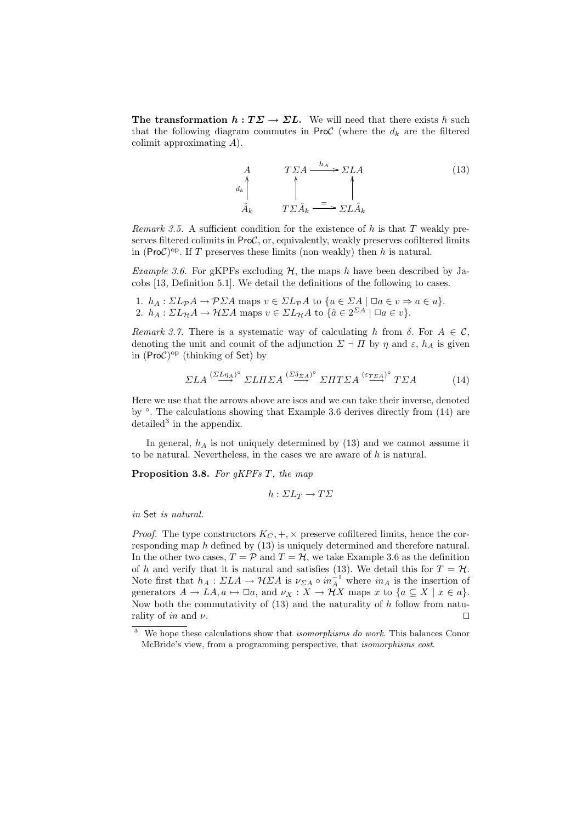The transformation  $h : T\Sigma \to \Sigma L$ . We will need that there exists h such that the following diagram commutes in ProC (where the  $d_k$  are the filtered colimit approximating A).

$$
A \t T \Sigma A \xrightarrow{h_A} \Sigma LA
$$
\n
$$
d_k \uparrow \qquad \uparrow \qquad \uparrow
$$
\n
$$
\hat{A}_k \t T \Sigma \hat{A}_k \xrightarrow{=} \Sigma L \hat{A}_k
$$
\n(13)

Remark 3.5. A sufficient condition for the existence of  $h$  is that  $T$  weakly preserves filtered colimits in  $ProC$ , or, equivalently, weakly preserves cofiltered limits in (ProC)<sup>op</sup>. If T preserves these limits (non weakly) then h is natural.

*Example 3.6.* For gKPFs excluding  $H$ , the maps h have been described by Jacobs [13, Definition 5.1]. We detail the definitions of the following to cases.

1. 
$$
h_A: \Sigma L_{\mathcal{P}}A \to \mathcal{P}\Sigma A
$$
 maps  $v \in \Sigma L_{\mathcal{P}}A$  to  $\{u \in \Sigma A \mid \Box a \in v \Rightarrow a \in u\}$ .  
2.  $h_A: \Sigma L_{\mathcal{H}}A \to \mathcal{H}\Sigma A$  maps  $v \in \Sigma L_{\mathcal{H}}A$  to  $\{\hat{a} \in 2^{\Sigma A} \mid \Box a \in v\}$ .

Remark 3.7. There is a systematic way of calculating h from  $\delta$ . For  $A \in \mathcal{C}$ , denoting the unit and counit of the adjunction  $\Sigma \dashv \Pi$  by  $\eta$  and  $\varepsilon$ ,  $h_A$  is given in  $(ProC)$ <sup>op</sup> (thinking of Set) by

$$
\Sigma LA \stackrel{(\Sigma L \eta_A)^{\circ}}{\longrightarrow} \Sigma L \Pi \Sigma A \stackrel{(\Sigma \delta_{\Sigma A})^{\circ}}{\longrightarrow} \Sigma \Pi T \Sigma A \stackrel{(\varepsilon_{T \Sigma A})^{\circ}}{\longrightarrow} T \Sigma A \tag{14}
$$

Here we use that the arrows above are isos and we can take their inverse, denoted by  $\degree$ . The calculations showing that Example 3.6 derives directly from (14) are  $\delta$  detailed<sup>3</sup> in the appendix.

In general,  $h_A$  is not uniquely determined by (13) and we cannot assume it to be natural. Nevertheless, in the cases we are aware of  $h$  is natural.

Proposition 3.8. For gKPFs T, the map

$$
h: \Sigma L_T \to T\Sigma
$$

in Set is natural.

*Proof.* The type constructors  $K_C, +, \times$  preserve cofiltered limits, hence the corresponding map h defined by (13) is uniquely determined and therefore natural. In the other two cases,  $T = \mathcal{P}$  and  $T = \mathcal{H}$ , we take Example 3.6 as the definition of h and verify that it is natural and satisfies (13). We detail this for  $T = H$ . Note first that  $h_A: \Sigma L A \to \mathcal{H} \Sigma A$  is  $\nu_{\Sigma A} \circ in_A^{-1}$  where  $in_A$  is the insertion of generators  $A \to LA, a \mapsto \Box a$ , and  $\nu_X : X \to \mathcal{H}X$  maps x to  $\{a \subseteq X \mid x \in a\}.$ Now both the commutativity of  $(13)$  and the naturality of h follow from naturality of in and  $\nu$ .

 $3$  We hope these calculations show that *isomorphisms do work*. This balances Conor McBride's view, from a programming perspective, that isomorphisms cost.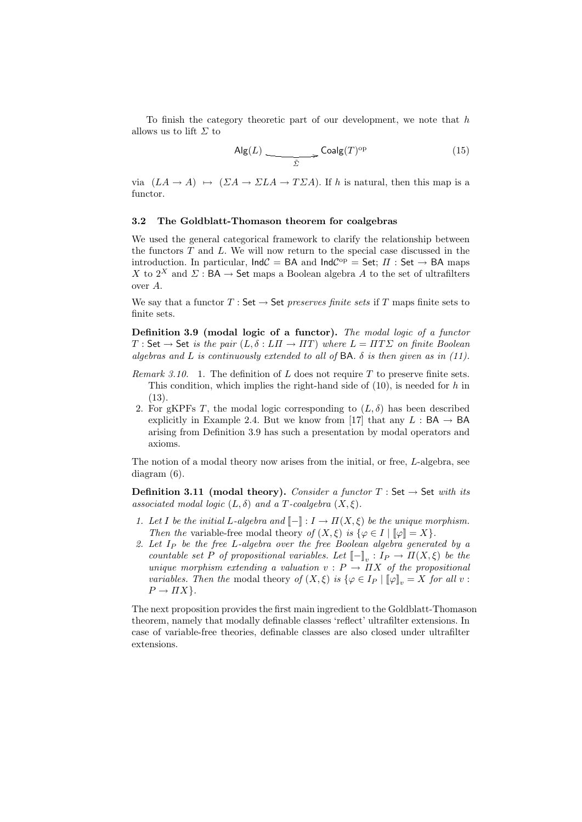To finish the category theoretic part of our development, we note that h allows us to lift  $\Sigma$  to

$$
\mathsf{Alg}(L) \xrightarrow{\tilde{\Sigma}} \mathsf{Coalg}(T)^{\mathrm{op}} \tag{15}
$$

via  $(LA \rightarrow A) \mapsto ( \Sigma A \rightarrow \Sigma LA \rightarrow T \Sigma A)$ . If h is natural, then this map is a functor.

#### 3.2 The Goldblatt-Thomason theorem for coalgebras

We used the general categorical framework to clarify the relationship between the functors  $T$  and  $L$ . We will now return to the special case discussed in the introduction. In particular,  $IndC = BA$  and  $IndC^{op} = Set$ ;  $\Pi : Set \rightarrow BA$  maps X to  $2^X$  and  $\Sigma$ : BA  $\rightarrow$  Set maps a Boolean algebra A to the set of ultrafilters over A.

We say that a functor  $T : \mathsf{Set} \to \mathsf{Set}$  preserves finite sets if T maps finite sets to finite sets.

Definition 3.9 (modal logic of a functor). The modal logic of a functor  $T : \mathsf{Set} \to \mathsf{Set}$  is the pair  $(L, \delta : L\Pi \to \Pi T)$  where  $L = \Pi T \Sigma$  on finite Boolean algebras and L is continuously extended to all of BA.  $\delta$  is then given as in (11).

- Remark 3.10. 1. The definition of L does not require  $T$  to preserve finite sets. This condition, which implies the right-hand side of  $(10)$ , is needed for h in (13).
- 2. For gKPFs T, the modal logic corresponding to  $(L, \delta)$  has been described explicitly in Example 2.4. But we know from [17] that any  $L : BA \rightarrow BA$ arising from Definition 3.9 has such a presentation by modal operators and axioms.

The notion of a modal theory now arises from the initial, or free, L-algebra, see diagram (6).

**Definition 3.11 (modal theory).** Consider a functor  $T : Set \rightarrow Set \text{ with its}$ associated modal logic  $(L, \delta)$  and a T-coalgebra  $(X, \xi)$ .

- 1. Let I be the initial L-algebra and  $[-]: I \to \Pi(X, \xi)$  be the unique morphism. Then the variable-free modal theory of  $(X, \xi)$  is  $\{\varphi \in I \mid \llbracket \varphi \rrbracket = X\}.$
- 2. Let  $I_P$  be the free L-algebra over the free Boolean algebra generated by a countable set P of propositional variables. Let  $[-]_v : I_P \to \Pi(X, \xi)$  be the unique morphism extending a valuation  $v : P \to \overline{I} X$  of the propositional variables. Then the modal theory of  $(X, \xi)$  is  $\{\varphi \in I_P \mid \llbracket \varphi \rrbracket_v = X$  for all v:  $P \rightarrow \Pi X$ .

The next proposition provides the first main ingredient to the Goldblatt-Thomason theorem, namely that modally definable classes 'reflect' ultrafilter extensions. In case of variable-free theories, definable classes are also closed under ultrafilter extensions.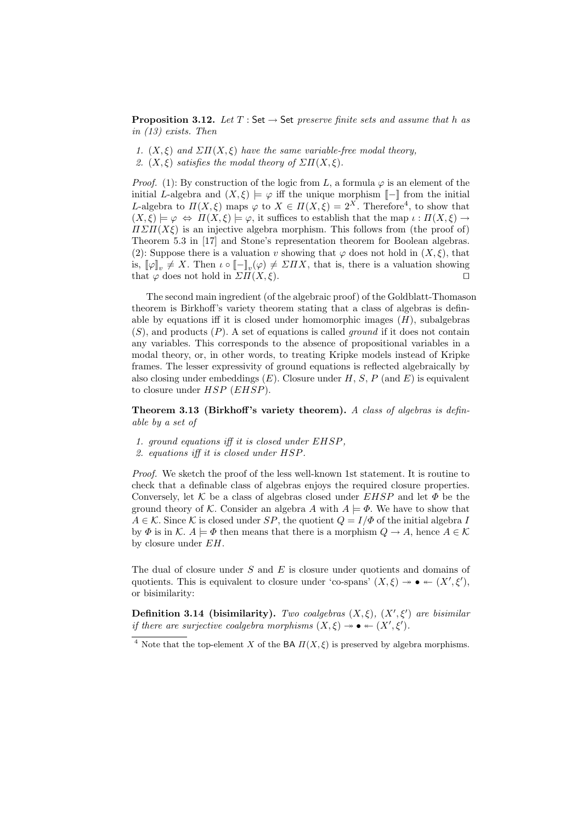**Proposition 3.12.** Let  $T : Set \rightarrow Set$  preserve finite sets and assume that h as in (13) exists. Then

- 1.  $(X, \xi)$  and  $\Sigma \Pi(X, \xi)$  have the same variable-free modal theory,
- 2.  $(X, \xi)$  satisfies the modal theory of  $\Sigma \Pi(X, \xi)$ .

*Proof.* (1): By construction of the logic from L, a formula  $\varphi$  is an element of the initial L-algebra and  $(X, \xi) \models \varphi$  iff the unique morphism  $\llbracket - \rrbracket$  from the initial L-algebra to  $\Pi(X,\xi)$  maps  $\varphi$  to  $X \in \Pi(X,\xi) = 2^X$ . Therefore<sup>4</sup>, to show that  $(X, \xi) \models \varphi \Leftrightarrow \Pi(X, \xi) \models \varphi$ , it suffices to establish that the map  $\iota : \Pi(X, \xi) \rightarrow$  $\Pi \Sigma \Pi (X \xi)$  is an injective algebra morphism. This follows from (the proof of) Theorem 5.3 in [17] and Stone's representation theorem for Boolean algebras. (2): Suppose there is a valuation v showing that  $\varphi$  does not hold in  $(X, \xi)$ , that is,  $[\![\varphi]\!]_v \neq X$ . Then  $\iota \circ [\![-\!]_v(\varphi) \neq \varSigma \Pi X$ , that is, there is a valuation showing that  $\varphi$  does not hold in  $\Sigma \Pi(X, \xi)$ .

The second main ingredient (of the algebraic proof) of the Goldblatt-Thomason theorem is Birkhoff's variety theorem stating that a class of algebras is definable by equations iff it is closed under homomorphic images  $(H)$ , subalgebras  $(S)$ , and products  $(P)$ . A set of equations is called *ground* if it does not contain any variables. This corresponds to the absence of propositional variables in a modal theory, or, in other words, to treating Kripke models instead of Kripke frames. The lesser expressivity of ground equations is reflected algebraically by also closing under embeddings  $(E)$ . Closure under H, S, P (and E) is equivalent to closure under  $HSP$  (EHSP).

Theorem 3.13 (Birkhoff's variety theorem). A class of algebras is definable by a set of

- 1. ground equations iff it is closed under EHSP,
- 2. equations iff it is closed under HSP.

Proof. We sketch the proof of the less well-known 1st statement. It is routine to check that a definable class of algebras enjoys the required closure properties. Conversely, let  $K$  be a class of algebras closed under  $EHSP$  and let  $\Phi$  be the ground theory of K. Consider an algebra A with  $A \models \varPhi$ . We have to show that  $A \in \mathcal{K}$ . Since K is closed under SP, the quotient  $O = I/\Phi$  of the initial algebra I by  $\Phi$  is in K.  $A \models \Phi$  then means that there is a morphism  $Q \rightarrow A$ , hence  $A \in \mathcal{K}$ by closure under EH.

The dual of closure under  $S$  and  $E$  is closure under quotients and domains of quotients. This is equivalent to closure under 'co-spans'  $(X, \xi) \rightarrow \bullet \leftarrow (X', \xi')$ , or bisimilarity:

**Definition 3.14 (bisimilarity).** Two coalgebras  $(X, \xi)$ ,  $(X', \xi')$  are bisimilar if there are surjective coalgebra morphisms  $(X, \xi) \rightarrow \bullet \leftarrow (X', \xi').$ 

<sup>&</sup>lt;sup>4</sup> Note that the top-element X of the BA  $\Pi(X,\xi)$  is preserved by algebra morphisms.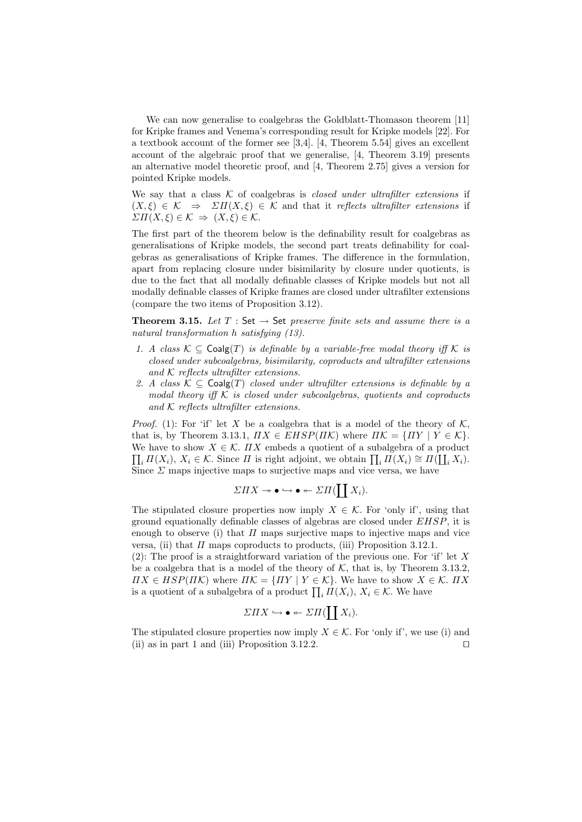We can now generalise to coalgebras the Goldblatt-Thomason theorem [11] for Kripke frames and Venema's corresponding result for Kripke models [22]. For a textbook account of the former see [3,4]. [4, Theorem 5.54] gives an excellent account of the algebraic proof that we generalise, [4, Theorem 3.19] presents an alternative model theoretic proof, and [4, Theorem 2.75] gives a version for pointed Kripke models.

We say that a class  $K$  of coalgebras is *closed under ultrafilter extensions* if  $(X, \xi) \in \mathcal{K} \Rightarrow \Sigma \Pi(X, \xi) \in \mathcal{K}$  and that it reflects ultrafilter extensions if  $\Sigma \Pi(X,\xi) \in \mathcal{K} \Rightarrow (X,\xi) \in \mathcal{K}.$ 

The first part of the theorem below is the definability result for coalgebras as generalisations of Kripke models, the second part treats definability for coalgebras as generalisations of Kripke frames. The difference in the formulation, apart from replacing closure under bisimilarity by closure under quotients, is due to the fact that all modally definable classes of Kripke models but not all modally definable classes of Kripke frames are closed under ultrafilter extensions (compare the two items of Proposition 3.12).

**Theorem 3.15.** Let  $T : Set \rightarrow Set$  preserve finite sets and assume there is a natural transformation h satisfying (13).

- 1. A class  $\mathcal{K} \subseteq \mathsf{Coalg}(T)$  is definable by a variable-free modal theory iff  $\mathcal{K}$  is closed under subcoalgebras, bisimilarity, coproducts and ultrafilter extensions and K reflects ultrafilter extensions.
- 2. A class  $\mathcal{K} \subseteq \mathsf{Coalg}(T)$  closed under ultrafilter extensions is definable by a modal theory iff  $K$  is closed under subcoalgebras, quotients and coproducts and  $K$  reflects ultrafilter extensions.

*Proof.* (1): For 'if' let X be a coalgebra that is a model of the theory of  $K$ , that is, by Theorem 3.13.1,  $\Pi X \in EHSP(\Pi \mathcal{K})$  where  $\Pi \mathcal{K} = \{ \Pi Y \mid Y \in \mathcal{K} \}.$ We have to show  $X \in \mathcal{K}$ .  $\overline{I}X$  embeds a quotient of a subalgebra of a product  $\prod_i \Pi(X_i)$ ,  $X_i \in \mathcal{K}$ . Since  $\Pi$  is right adjoint, we obtain  $\prod_i \Pi(X_i) \cong \Pi(\coprod_i X_i)$ . Since  $\Sigma$  maps injective maps to surjective maps and vice versa, we have

$$
\Sigma \Pi X \twoheadrightarrow \bullet \hookrightarrow \bullet \leftarrow \Sigma \Pi(\coprod X_i).
$$

The stipulated closure properties now imply  $X \in \mathcal{K}$ . For 'only if', using that ground equationally definable classes of algebras are closed under EHSP, it is enough to observe (i) that  $\Pi$  maps surjective maps to injective maps and vice versa, (ii) that  $\Pi$  maps coproducts to products, (iii) Proposition 3.12.1.

(2): The proof is a straightforward variation of the previous one. For 'if' let  $X$ be a coalgebra that is a model of the theory of  $K$ , that is, by Theorem 3.13.2,  $\Pi X \in HSP(\Pi \mathcal{K})$  where  $\Pi \mathcal{K} = \{ \Pi Y \mid Y \in \mathcal{K} \}$ . We have to show  $X \in \mathcal{K}$ .  $\Pi X$ is a quotient of a subalgebra of a product  $\prod_i \Pi(X_i)$ ,  $X_i \in \mathcal{K}$ . We have

$$
\Sigma \Pi X \hookrightarrow \bullet \leftarrow \Sigma \Pi(\coprod X_i).
$$

The stipulated closure properties now imply  $X \in \mathcal{K}$ . For 'only if', we use (i) and (ii) as in part 1 and (iii) Proposition 3.12.2.  $\Box$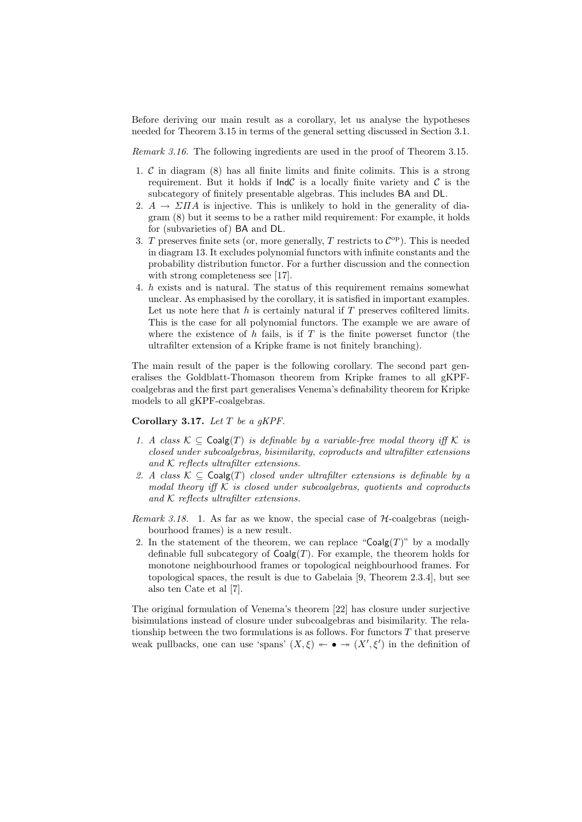Before deriving our main result as a corollary, let us analyse the hypotheses needed for Theorem 3.15 in terms of the general setting discussed in Section 3.1.

Remark 3.16. The following ingredients are used in the proof of Theorem 3.15.

- 1.  $\mathcal C$  in diagram (8) has all finite limits and finite colimits. This is a strong requirement. But it holds if  $IndC$  is a locally finite variety and C is the subcategory of finitely presentable algebras. This includes BA and DL.
- 2.  $A \rightarrow \Sigma \Pi A$  is injective. This is unlikely to hold in the generality of diagram (8) but it seems to be a rather mild requirement: For example, it holds for (subvarieties of) BA and DL.
- 3. T preserves finite sets (or, more generally, T restricts to  $C^{op}$ ). This is needed in diagram 13. It excludes polynomial functors with infinite constants and the probability distribution functor. For a further discussion and the connection with strong completeness see [17].
- 4. h exists and is natural. The status of this requirement remains somewhat unclear. As emphasised by the corollary, it is satisfied in important examples. Let us note here that  $h$  is certainly natural if  $T$  preserves cofiltered limits. This is the case for all polynomial functors. The example we are aware of where the existence of  $h$  fails, is if  $T$  is the finite powerset functor (the ultrafilter extension of a Kripke frame is not finitely branching).

The main result of the paper is the following corollary. The second part generalises the Goldblatt-Thomason theorem from Kripke frames to all gKPFcoalgebras and the first part generalises Venema's definability theorem for Kripke models to all gKPF-coalgebras.

# Corollary 3.17. Let  $T$  be a gKPF.

- 1. A class  $\mathcal{K} \subseteq \text{Coalg}(T)$  is definable by a variable-free modal theory iff K is closed under subcoalgebras, bisimilarity, coproducts and ultrafilter extensions and  $K$  reflects ultrafilter extensions.
- 2. A class  $\mathcal{K} \subseteq \mathsf{Coalg}(T)$  closed under ultrafilter extensions is definable by a modal theory iff  $K$  is closed under subcoalgebras, quotients and coproducts and  $K$  reflects ultrafilter extensions.
- Remark 3.18. 1. As far as we know, the special case of  $H$ -coalgebras (neighbourhood frames) is a new result.
- 2. In the statement of the theorem, we can replace "Coalg(T)" by a modally definable full subcategory of  $Coalg(T)$ . For example, the theorem holds for monotone neighbourhood frames or topological neighbourhood frames. For topological spaces, the result is due to Gabelaia [9, Theorem 2.3.4], but see also ten Cate et al [7].

The original formulation of Venema's theorem [22] has closure under surjective bisimulations instead of closure under subcoalgebras and bisimilarity. The relationship between the two formulations is as follows. For functors  $T$  that preserve weak pullbacks, one can use 'spans'  $(X,\xi) \leftarrow \bullet \rightarrow (X',\xi')$  in the definition of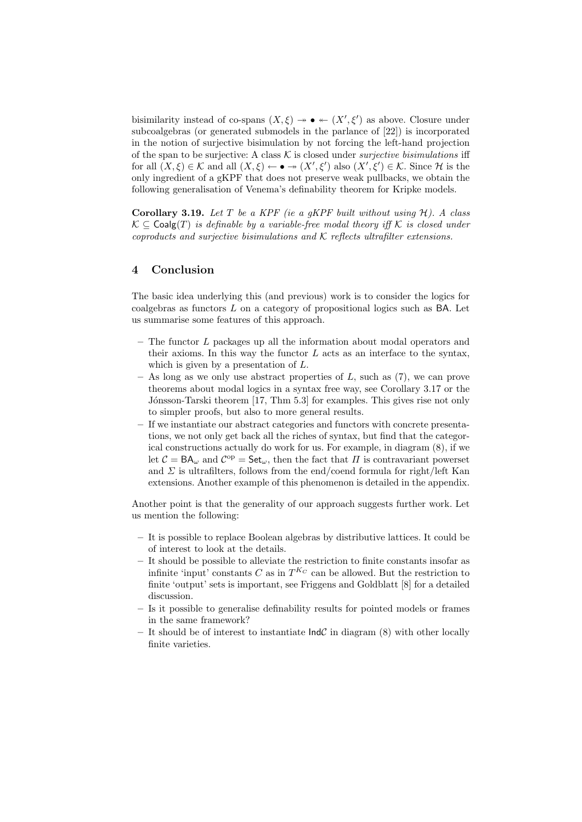bisimilarity instead of co-spans  $(X, \xi) \rightarrow \bullet \leftarrow (X', \xi')$  as above. Closure under subcoalgebras (or generated submodels in the parlance of [22]) is incorporated in the notion of surjective bisimulation by not forcing the left-hand projection of the span to be surjective: A class  $K$  is closed under *surjective bisimulations* iff for all  $(X,\xi) \in \mathcal{K}$  and all  $(X,\xi) \leftarrow \bullet \twoheadrightarrow (X',\xi')$  also  $(X',\xi') \in \mathcal{K}$ . Since H is the only ingredient of a gKPF that does not preserve weak pullbacks, we obtain the following generalisation of Venema's definability theorem for Kripke models.

Corollary 3.19. Let T be a KPF (ie a gKPF built without using  $H$ ). A class  $K ⊆$  Coalg(T) is definable by a variable-free modal theory iff K is closed under coproducts and surjective bisimulations and  $K$  reflects ultrafilter extensions.

# 4 Conclusion

The basic idea underlying this (and previous) work is to consider the logics for  $\alpha$ coalgebras as functors  $L$  on a category of propositional logics such as BA. Let us summarise some features of this approach.

- The functor L packages up all the information about modal operators and their axioms. In this way the functor  $L$  acts as an interface to the syntax, which is given by a presentation of L.
- $-$  As long as we only use abstract properties of  $L$ , such as  $(7)$ , we can prove theorems about modal logics in a syntax free way, see Corollary 3.17 or the Jónsson-Tarski theorem [17, Thm 5.3] for examples. This gives rise not only to simpler proofs, but also to more general results.
- If we instantiate our abstract categories and functors with concrete presentations, we not only get back all the riches of syntax, but find that the categorical constructions actually do work for us. For example, in diagram (8), if we let  $C = BA_{\omega}$  and  $C^{op} = Set_{\omega}$ , then the fact that  $\Pi$  is contravariant powerset and  $\Sigma$  is ultrafilters, follows from the end/coend formula for right/left Kan extensions. Another example of this phenomenon is detailed in the appendix.

Another point is that the generality of our approach suggests further work. Let us mention the following:

- It is possible to replace Boolean algebras by distributive lattices. It could be of interest to look at the details.
- It should be possible to alleviate the restriction to finite constants insofar as infinite 'input' constants C as in  $T^{K_C}$  can be allowed. But the restriction to finite 'output' sets is important, see Friggens and Goldblatt [8] for a detailed discussion.
- Is it possible to generalise definability results for pointed models or frames in the same framework?
- It should be of interest to instantiate  $\text{Ind }\mathcal{C}$  in diagram (8) with other locally finite varieties.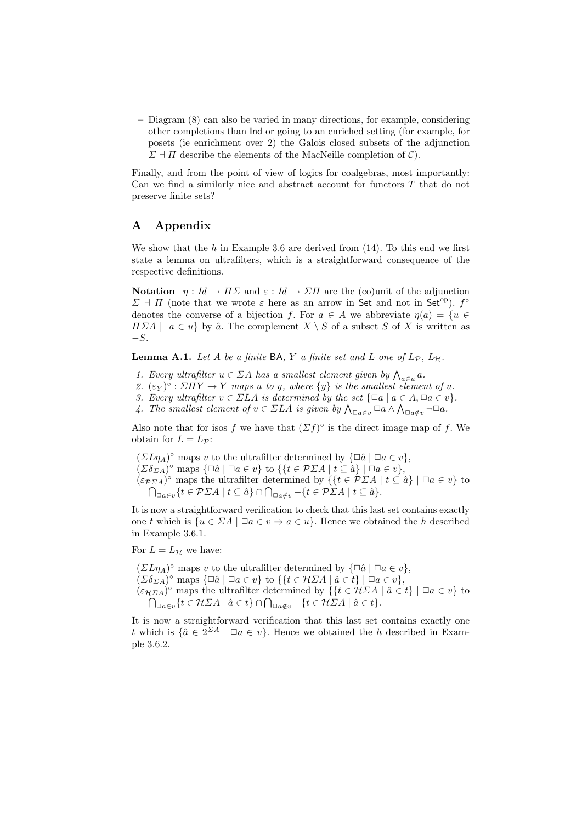– Diagram (8) can also be varied in many directions, for example, considering other completions than Ind or going to an enriched setting (for example, for posets (ie enrichment over 2) the Galois closed subsets of the adjunction  $\Sigma \dashv \Pi$  describe the elements of the MacNeille completion of  $\mathcal{C}$ ).

Finally, and from the point of view of logics for coalgebras, most importantly: Can we find a similarly nice and abstract account for functors T that do not preserve finite sets?

# A Appendix

We show that the h in Example 3.6 are derived from  $(14)$ . To this end we first state a lemma on ultrafilters, which is a straightforward consequence of the respective definitions.

Notation  $\eta: Id \to H\Sigma$  and  $\varepsilon: Id \to \Sigma H$  are the (co)unit of the adjunction  $\Sigma$  +  $\Pi$  (note that we wrote  $\varepsilon$  here as an arrow in Set and not in Set<sup>op</sup>).  $f^{\circ}$ denotes the converse of a bijection f. For  $a \in A$  we abbreviate  $\eta(a) = \{u \in A\}$  $\Pi \Sigma A \mid a \in u$  by  $\hat{a}$ . The complement  $X \setminus S$  of a subset S of X is written as  $-S$ .

**Lemma A.1.** Let A be a finite BA, Y a finite set and L one of  $L_p$ ,  $L_{\mathcal{H}}$ .

- 1. Every ultrafilter  $u \in \Sigma A$  has a smallest element given by  $\bigwedge_{a \in u} a$ .
- 2.  $(\varepsilon_Y)^{\circ} : \Sigma \Pi Y \to Y$  maps u to y, where  $\{y\}$  is the smallest element of u.
- 3. Every ultrafilter  $v \in \Sigma LA$  is determined by the set  $\{\Box a \mid a \in A, \Box a \in v\}.$
- 4. The smallest element of  $v \in \Sigma LA$  is given by  $\bigwedge_{\Box a \in v} \Box a \land \bigwedge_{\Box a \notin v} \neg \Box a$ .

Also note that for isos f we have that  $(\Sigma f)^\circ$  is the direct image map of f. We obtain for  $L = L_{\mathcal{P}}$ :

 $(\Sigma L \eta_A)^\circ$  maps v to the ultrafilter determined by  $\{\Box \hat{a} \mid \Box a \in v\},\$  $(\Sigma \delta_{\Sigma A})^{\circ}$  maps  $\{\Box \hat{a} \mid \Box a \in v\}$  to  $\{\{t \in \mathcal{P}\Sigma A \mid t \subseteq \hat{a}\}\mid \Box a \in v\},$  $(\varepsilon_{\mathcal{P}\Sigma A})^{\circ}$  maps the ultrafilter determined by  $\{t \in \mathcal{P}\Sigma A \mid t \subseteq \hat{a}\}\mid \Box a \in v\}$  to  $\bigcap_{\Box a \in v} \{t \in \mathcal{P}\Sigma A \mid t \subseteq \hat{a}\} \cap \bigcap_{\Box a \notin v} \{-t \in \mathcal{P}\Sigma A \mid t \subseteq \hat{a}\}.$ 

It is now a straightforward verification to check that this last set contains exactly one t which is  $\{u \in \Sigma A \mid \Box a \in v \Rightarrow a \in u\}$ . Hence we obtained the h described in Example 3.6.1.

For  $L = L_{\mathcal{H}}$  we have:

 $(\Sigma L \eta_A)^\circ$  maps v to the ultrafilter determined by  $\{\Box \hat{a} \mid \Box a \in v\},\$  $(\Sigma \delta_{\Sigma A})^{\circ}$  maps  $\{\Box \hat{a} \mid \Box a \in v\}$  to  $\{\{t \in H\Box A \mid \hat{a} \in t\} \mid \Box a \in v\},\$  $(\varepsilon_{\mathcal{H}\Sigma A})^{\circ}$  maps the ultrafilter determined by  $\{\{t \in \mathcal{H}\Sigma A \mid \hat{a} \in t\} \mid \Box a \in v\}$  to  $\bigcap_{\Box a \in v} \{t \in H\Box A \mid \hat{a} \in t\} \cap \bigcap_{\Box a \notin v} \{t \in H\Box A \mid \hat{a} \in t\}.$ 

It is now a straightforward verification that this last set contains exactly one t which is  $\{\hat{a} \in 2^{\Sigma A} \mid \Box a \in v\}$ . Hence we obtained the h described in Example 3.6.2.